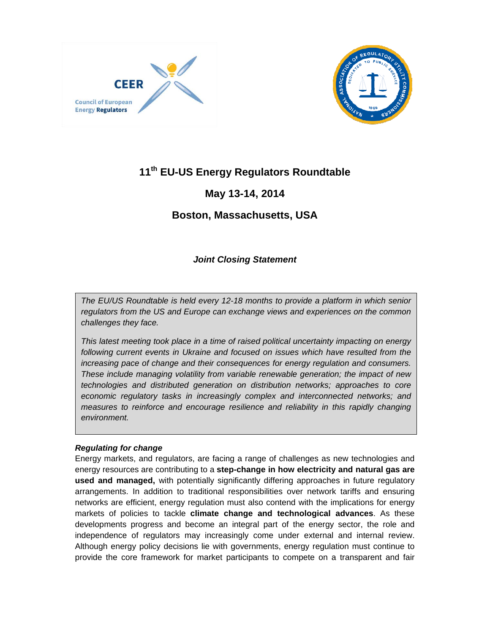



# **11th EU-US Energy Regulators Roundtable**

## **May 13-14, 2014**

## **Boston, Massachusetts, USA**

## *Joint Closing Statement*

*The EU/US Roundtable is held every 12-18 months to provide a platform in which senior regulators from the US and Europe can exchange views and experiences on the common challenges they face.* 

*This latest meeting took place in a time of raised political uncertainty impacting on energy*  following current events in Ukraine and focused on issues which have resulted from the *increasing pace of change and their consequences for energy regulation and consumers. These include managing volatility from variable renewable generation; the impact of new technologies and distributed generation on distribution networks; approaches to core economic regulatory tasks in increasingly complex and interconnected networks; and measures to reinforce and encourage resilience and reliability in this rapidly changing environment.*

### *Regulating for change*

Energy markets, and regulators, are facing a range of challenges as new technologies and energy resources are contributing to a **step-change in how electricity and natural gas are used and managed,** with potentially significantly differing approaches in future regulatory arrangements. In addition to traditional responsibilities over network tariffs and ensuring networks are efficient, energy regulation must also contend with the implications for energy markets of policies to tackle **climate change and technological advances**. As these developments progress and become an integral part of the energy sector, the role and independence of regulators may increasingly come under external and internal review. Although energy policy decisions lie with governments, energy regulation must continue to provide the core framework for market participants to compete on a transparent and fair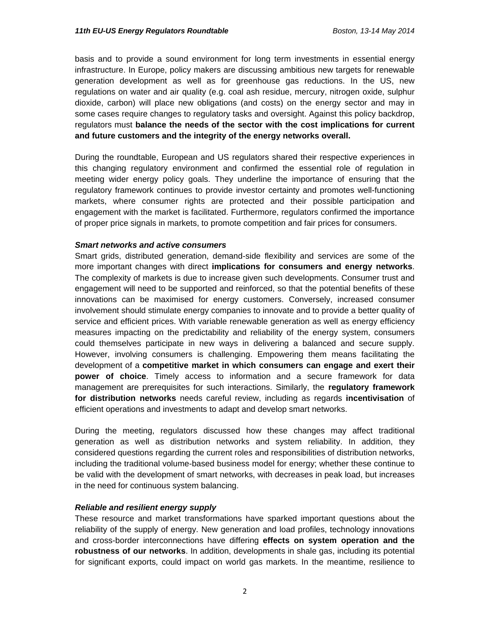basis and to provide a sound environment for long term investments in essential energy infrastructure. In Europe, policy makers are discussing ambitious new targets for renewable generation development as well as for greenhouse gas reductions. In the US, new regulations on water and air quality (e.g. coal ash residue, mercury, nitrogen oxide, sulphur dioxide, carbon) will place new obligations (and costs) on the energy sector and may in some cases require changes to regulatory tasks and oversight. Against this policy backdrop, regulators must **balance the needs of the sector with the cost implications for current and future customers and the integrity of the energy networks overall.** 

During the roundtable, European and US regulators shared their respective experiences in this changing regulatory environment and confirmed the essential role of regulation in meeting wider energy policy goals. They underline the importance of ensuring that the regulatory framework continues to provide investor certainty and promotes well-functioning markets, where consumer rights are protected and their possible participation and engagement with the market is facilitated. Furthermore, regulators confirmed the importance of proper price signals in markets, to promote competition and fair prices for consumers.

### *Smart networks and active consumers*

Smart grids, distributed generation, demand-side flexibility and services are some of the more important changes with direct **implications for consumers and energy networks**. The complexity of markets is due to increase given such developments. Consumer trust and engagement will need to be supported and reinforced, so that the potential benefits of these innovations can be maximised for energy customers. Conversely, increased consumer involvement should stimulate energy companies to innovate and to provide a better quality of service and efficient prices. With variable renewable generation as well as energy efficiency measures impacting on the predictability and reliability of the energy system, consumers could themselves participate in new ways in delivering a balanced and secure supply. However, involving consumers is challenging. Empowering them means facilitating the development of a **competitive market in which consumers can engage and exert their power of choice**. Timely access to information and a secure framework for data management are prerequisites for such interactions. Similarly, the **regulatory framework for distribution networks** needs careful review, including as regards **incentivisation** of efficient operations and investments to adapt and develop smart networks.

During the meeting, regulators discussed how these changes may affect traditional generation as well as distribution networks and system reliability. In addition, they considered questions regarding the current roles and responsibilities of distribution networks, including the traditional volume-based business model for energy; whether these continue to be valid with the development of smart networks, with decreases in peak load, but increases in the need for continuous system balancing.

### *Reliable and resilient energy supply*

These resource and market transformations have sparked important questions about the reliability of the supply of energy. New generation and load profiles, technology innovations and cross-border interconnections have differing **effects on system operation and the robustness of our networks**. In addition, developments in shale gas, including its potential for significant exports, could impact on world gas markets. In the meantime, resilience to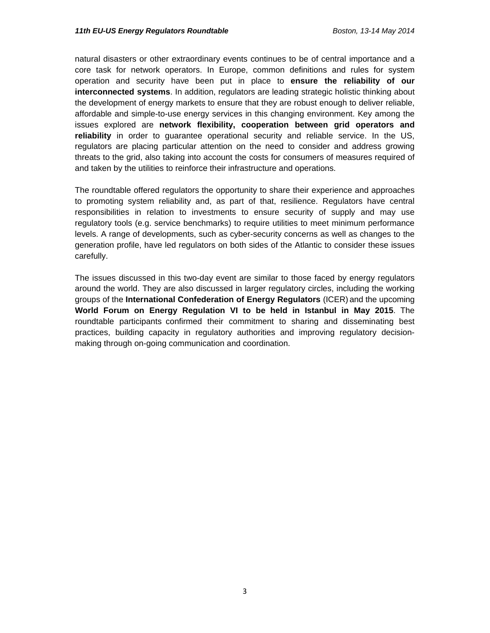natural disasters or other extraordinary events continues to be of central importance and a core task for network operators. In Europe, common definitions and rules for system operation and security have been put in place to **ensure the reliability of our interconnected systems**. In addition, regulators are leading strategic holistic thinking about the development of energy markets to ensure that they are robust enough to deliver reliable, affordable and simple-to-use energy services in this changing environment. Key among the issues explored are **network flexibility, cooperation between grid operators and reliability** in order to guarantee operational security and reliable service. In the US, regulators are placing particular attention on the need to consider and address growing threats to the grid, also taking into account the costs for consumers of measures required of and taken by the utilities to reinforce their infrastructure and operations.

The roundtable offered regulators the opportunity to share their experience and approaches to promoting system reliability and, as part of that, resilience. Regulators have central responsibilities in relation to investments to ensure security of supply and may use regulatory tools (e.g. service benchmarks) to require utilities to meet minimum performance levels. A range of developments, such as cyber-security concerns as well as changes to the generation profile, have led regulators on both sides of the Atlantic to consider these issues carefully.

The issues discussed in this two-day event are similar to those faced by energy regulators around the world. They are also discussed in larger regulatory circles, including the working groups of the **International Confederation of Energy Regulators** (ICER) and the upcoming **World Forum on Energy Regulation VI to be held in Istanbul in May 2015**. The roundtable participants confirmed their commitment to sharing and disseminating best practices, building capacity in regulatory authorities and improving regulatory decisionmaking through on-going communication and coordination.